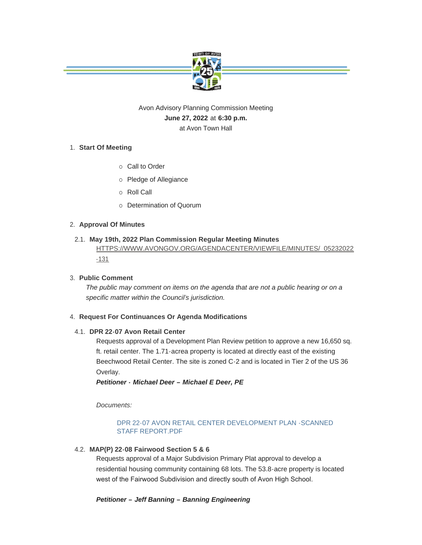

# Avon Advisory Planning Commission Meeting **June 27, 2022** at **6:30 p.m.**

# at Avon Town Hall

## **Start Of Meeting** 1.

- o Call to Order
- o Pledge of Allegiance
- o Roll Call
- o Determination of Quorum

### **Approval Of Minutes** 2.

### **May 19th, 2022 Plan Commission Regular Meeting Minutes** 2.1.

[HTTPS://WWW.AVONGOV.ORG/AGENDACENTER/VIEWFILE/MINUTES/\\_05232022](https://www.avongov.org/AgendaCenter/ViewFile/Minutes/_05232022-131) -131

### **Public Comment** 3.

*The public may comment on items on the agenda that are not a public hearing or on a specific matter within the Council's jurisdiction.*

### **Request For Continuances Or Agenda Modifications** 4.

### **DPR 22-07 Avon Retail Center**  4.1.

Requests approval of a Development Plan Review petition to approve a new 16,650 sq. ft. retail center. The 1.71-acrea property is located at directly east of the existing Beechwood Retail Center. The site is zoned C-2 and is located in Tier 2 of the US 36 Overlay.

*Petitioner - Michael Deer – Michael E Deer, PE*

*Documents:*

### [DPR 22-07 AVON RETAIL CENTER DEVELOPMENT PLAN -SCANNED](https://www.avongov.org/AgendaCenter/ViewFile/Item/399?fileID=501)  STAFF REPORT.PDF

### **MAP(P) 22-08 Fairwood Section 5 & 6**  4.2.

Requests approval of a Major Subdivision Primary Plat approval to develop a residential housing community containing 68 lots. The 53.8-acre property is located west of the Fairwood Subdivision and directly south of Avon High School.

*Petitioner – Jeff Banning – Banning Engineering*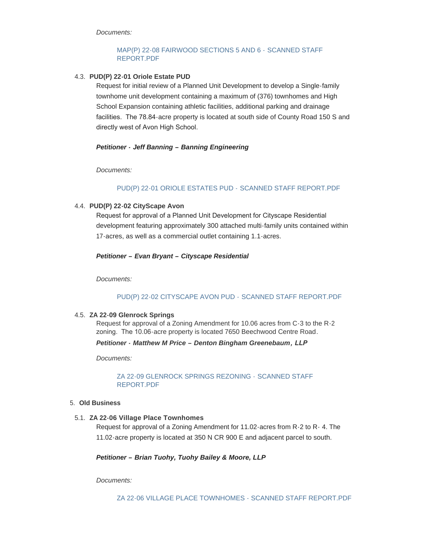*Documents:*

#### [MAP\(P\) 22-08 FAIRWOOD SECTIONS 5 AND 6 -](https://www.avongov.org/AgendaCenter/ViewFile/Item/574?fileID=505) SCANNED STAFF REPORT.PDF

#### **PUD(P) 22-01 Oriole Estate PUD** 4.3.

Request for initial review of a Planned Unit Development to develop a Single-family townhome unit development containing a maximum of (376) townhomes and High School Expansion containing athletic facilities, additional parking and drainage facilities. The 78.84-acre property is located at south side of County Road 150 S and directly west of Avon High School.

#### *Petitioner - Jeff Banning – Banning Engineering*

*Documents:*

### [PUD\(P\) 22-01 ORIOLE ESTATES PUD -](https://www.avongov.org/AgendaCenter/ViewFile/Item/575?fileID=507) SCANNED STAFF REPORT.PDF

#### **PUD(P) 22-02 CityScape Avon** 4.4.

Request for approval of a Planned Unit Development for Cityscape Residential development featuring approximately 300 attached multi-family units contained within 17-acres, as well as a commercial outlet containing 1.1-acres.

*Petitioner – Evan Bryant – Cityscape Residential*

*Documents:*

### [PUD\(P\) 22-02 CITYSCAPE AVON PUD -](https://www.avongov.org/AgendaCenter/ViewFile/Item/583?fileID=508) SCANNED STAFF REPORT.PDF

#### **ZA 22-09 Glenrock Springs** 4.5.

Request for approval of a Zoning Amendment for 10.06 acres from C-3 to the R-2 zoning. The 10.06-acre property is located 7650 Beechwood Centre Road*.* 

### *Petitioner - Matthew M Price – Denton Bingham Greenebaum, LLP*

*Documents:*

[ZA 22-09 GLENROCK SPRINGS REZONING -](https://www.avongov.org/AgendaCenter/ViewFile/Item/579?fileID=512) SCANNED STAFF REPORT.PDF

#### **Old Business** 5.

#### **ZA 22-06 Village Place Townhomes** 5.1.

Request for approval of a Zoning Amendment for 11.02-acres from R-2 to R- 4. The 11.02-acre property is located at 350 N CR 900 E and adjacent parcel to south.

### *Petitioner – Brian Tuohy, Tuohy Bailey & Moore, LLP*

*Documents:*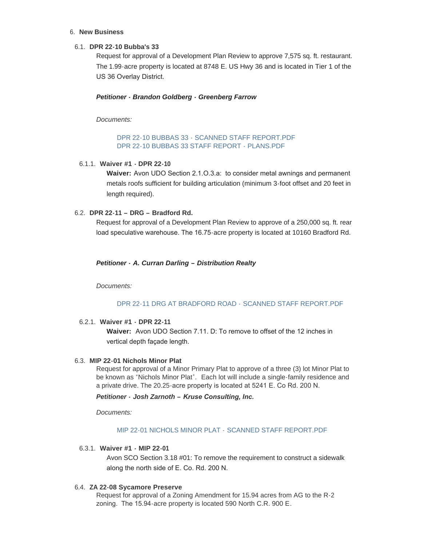#### **New Business** 6.

#### **DPR 22-10 Bubba's 33** 6.1.

Request for approval of a Development Plan Review to approve 7,575 sq. ft. restaurant. The 1.99-acre property is located at 8748 E. US Hwy 36 and is located in Tier 1 of the US 36 Overlay District.

#### *Petitioner - Brandon Goldberg - Greenberg Farrow*

*Documents:*

[DPR 22-10 BUBBAS 33 - SCANNED STAFF REPORT.PDF](https://www.avongov.org/AgendaCenter/ViewFile/Item/577?fileID=504) [DPR 22-10 BUBBAS 33 STAFF REPORT - PLANS.PDF](https://www.avongov.org/AgendaCenter/ViewFile/Item/577?fileID=502)

#### **Waiver #1 - DPR 22-10** 6.1.1.

**Waiver:** Avon UDO Section 2.1.O.3.a: to consider metal awnings and permanent metals roofs sufficient for building articulation (minimum 3-foot offset and 20 feet in length required).

#### **DPR 22-11 – DRG – Bradford Rd.** 6.2.

Request for approval of a Development Plan Review to approve of a 250,000 sq. ft. rear load speculative warehouse. The 16.75-acre property is located at 10160 Bradford Rd.

*Petitioner - A. Curran Darling – Distribution Realty*

*Documents:*

#### [DPR 22-11 DRG AT BRADFORD ROAD -](https://www.avongov.org/AgendaCenter/ViewFile/Item/582?fileID=503) SCANNED STAFF REPORT.PDF

**Waiver #1 - DPR 22-11** 6.2.1.

**Waiver:** Avon UDO Section 7.11. D: To remove to offset of the 12 inches in vertical depth façade length.

#### **MIP 22-01 Nichols Minor Plat** 6.3.

Request for approval of a Minor Primary Plat to approve of a three (3) lot Minor Plat to be known as "Nichols Minor Plat". Each lot will include a single-family residence and a private drive. The 20.25-acre property is located at 5241 E. Co Rd. 200 N.

*Petitioner - Josh Zarnoth – Kruse Consulting, Inc.* 

*Documents:*

#### [MIP 22-01 NICHOLS MINOR PLAT -](https://www.avongov.org/AgendaCenter/ViewFile/Item/580?fileID=506) SCANNED STAFF REPORT.PDF

#### **Waiver #1 - MIP 22-01** 6.3.1.

Avon SCO Section 3.18 #01: To remove the requirement to construct a sidewalk along the north side of E. Co. Rd. 200 N.

#### **ZA 22-08 Sycamore Preserve** 6.4.

Request for approval of a Zoning Amendment for 15.94 acres from AG to the R-2 zoning. The 15.94-acre property is located 590 North C.R. 900 E*.*